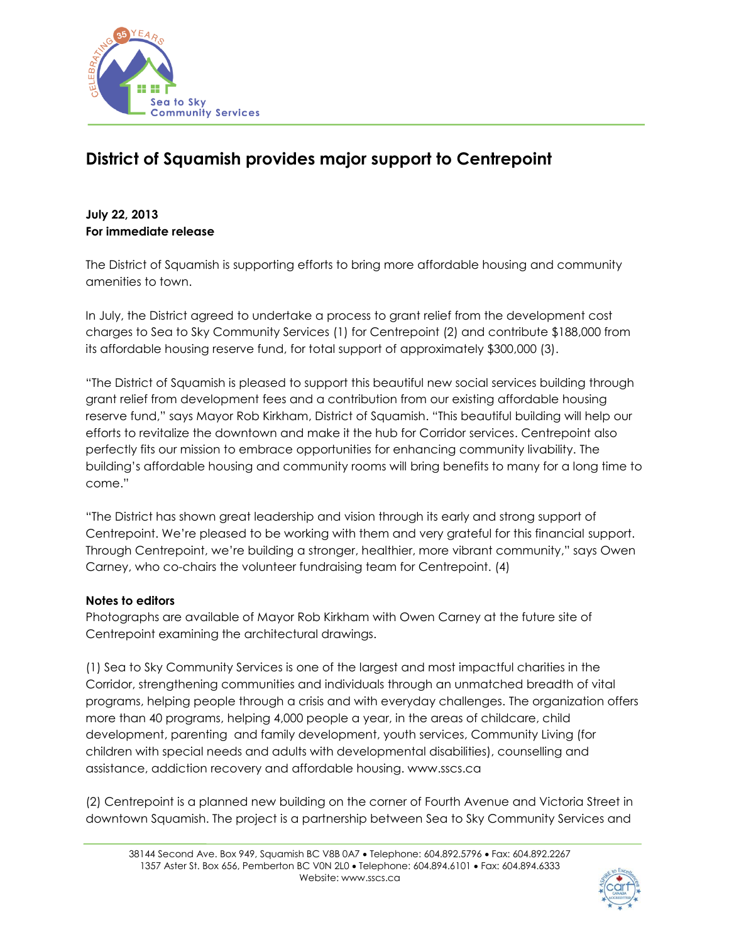

## **District of Squamish provides major support to Centrepoint**

## **July 22, 2013 For immediate release**

The District of Squamish is supporting efforts to bring more affordable housing and community amenities to town.

In July, the District agreed to undertake a process to grant relief from the development cost charges to Sea to Sky Community Services (1) for Centrepoint (2) and contribute \$188,000 from its affordable housing reserve fund, for total support of approximately \$300,000 (3).

"The District of Squamish is pleased to support this beautiful new social services building through grant relief from development fees and a contribution from our existing affordable housing reserve fund," says Mayor Rob Kirkham, District of Squamish. "This beautiful building will help our efforts to revitalize the downtown and make it the hub for Corridor services. Centrepoint also perfectly fits our mission to embrace opportunities for enhancing community livability. The building's affordable housing and community rooms will bring benefits to many for a long time to come."

"The District has shown great leadership and vision through its early and strong support of Centrepoint. We're pleased to be working with them and very grateful for this financial support. Through Centrepoint, we're building a stronger, healthier, more vibrant community," says Owen Carney, who co-chairs the volunteer fundraising team for Centrepoint. (4)

## **Notes to editors**

Photographs are available of Mayor Rob Kirkham with Owen Carney at the future site of Centrepoint examining the architectural drawings.

(1) Sea to Sky Community Services is one of the largest and most impactful charities in the Corridor, strengthening communities and individuals through an unmatched breadth of vital programs, helping people through a crisis and with everyday challenges. The organization offers more than 40 programs, helping 4,000 people a year, in the areas of childcare, child development, parenting and family development, youth services, Community Living (for children with special needs and adults with developmental disabilities), counselling and assistance, addiction recovery and affordable housing. www.sscs.ca

(2) Centrepoint is a planned new building on the corner of Fourth Avenue and Victoria Street in downtown Squamish. The project is a partnership between Sea to Sky Community Services and